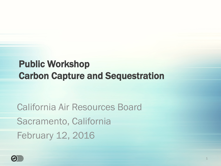#### Public Workshop Carbon Capture and Sequestration

California Air Resources Board Sacramento, California February 12, 2016

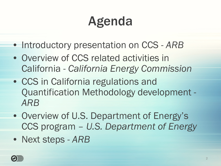### Agenda

- Introductory presentation on CCS *ARB*
- Overview of CCS related activities in California - *California Energy Commission*
- CCS in California regulations and Quantification Methodology development - *ARB*
- Overview of U.S. Department of Energy's CCS program – *U.S. Department of Energy*
- Next steps *ARB*

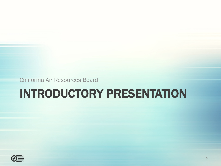California Air Resources Board

#### INTRODUCTORY PRESENTATION

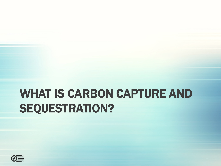#### WHAT IS CARBON CAPTURE AND SEQUESTRATION?

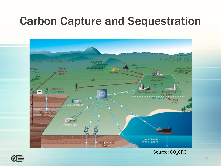#### Carbon Capture and Sequestration



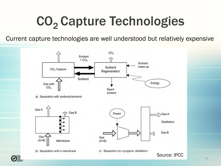### CO<sub>2</sub> Capture Technologies

Current capture technologies are well understood but relatively expensive



6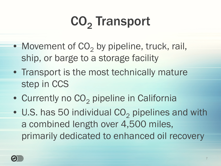# CO<sub>2</sub> Transport

- Movement of  $CO<sub>2</sub>$  by pipeline, truck, rail, ship, or barge to a storage facility
- Transport is the most technically mature step in CCS
- Currently no  $CO<sub>2</sub>$  pipeline in California
- U.S. has 50 individual  $CO<sub>2</sub>$  pipelines and with a combined length over 4,500 miles, primarily dedicated to enhanced oil recovery

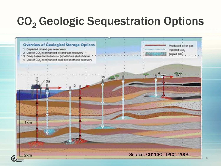#### CO<sub>2</sub> Geologic Sequestration Options

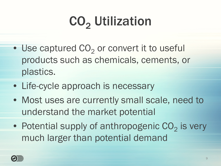# CO<sub>2</sub> Utilization

- $\bullet$  Use captured CO<sub>2</sub> or convert it to useful products such as chemicals, cements, or plastics.
- Life-cycle approach is necessary
- Most uses are currently small scale, need to understand the market potential
- Potential supply of anthropogenic  $CO_2$  is very much larger than potential demand

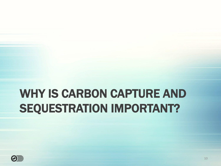#### WHY IS CARBON CAPTURE AND SEQUESTRATION IMPORTANT?

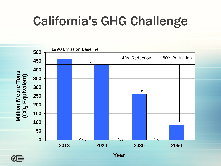### California's GHG Challenge



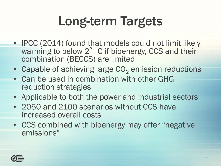### Long-term Targets

- IPCC (2014) found that models could not limit likely warming to below 2° C if bioenergy, CCS and their combination (BECCS) are limited
- Capable of achieving large  $CO<sub>2</sub>$  emission reductions
- Can be used in combination with other GHG reduction strategies
- Applicable to both the power and industrial sectors
- 2050 and 2100 scenarios without CCS have increased overall costs
- CCS combined with bioenergy may offer "negative" emissions"

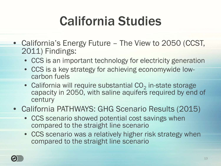### California Studies

- California's Energy Future The View to 2050 (CCST, 2011) Findings:
	- CCS is an important technology for electricity generation
	- CCS is a key strategy for achieving economywide lowcarbon fuels
	- California will require substantial  $CO<sub>2</sub>$  in-state storage capacity in 2050, with saline aquifers required by end of century
- California PATHWAYS: GHG Scenario Results (2015)
	- CCS scenario showed potential cost savings when compared to the straight line scenario
	- CCS scenario was a relatively higher risk strategy when compared to the straight line scenario

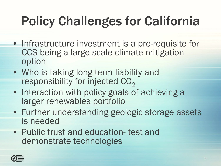## Policy Challenges for California

- Infrastructure investment is a pre-requisite for CCS being a large scale climate mitigation option
- Who is taking long-term liability and responsibility for injected  $CO<sub>2</sub>$
- Interaction with policy goals of achieving a larger renewables portfolio
- Further understanding geologic storage assets is needed
- Public trust and education- test and demonstrate technologies

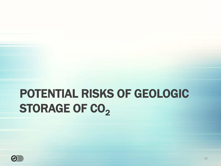### POTENTIAL RISKS OF GEOLOGIC STORAGE OF CO<sub>2</sub>

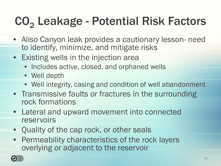### CO<sub>2</sub> Leakage - Potential Risk Factors

- Aliso Canyon leak provides a cautionary lesson- need to identify, minimize, and mitigate risks
- Existing wells in the injection area
	- Includes active, closed, and orphaned wells
	- Well depth
	- Well integrity, casing and condition of well abandonment
- Transmissive faults or fractures in the surrounding rock formations
- Lateral and upward movement into connected reservoirs
- Quality of the cap rock, or other seals
- Permeability characteristics of the rock layers overlying or adjacent to the reservoir

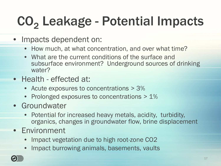# CO<sub>2</sub> Leakage - Potential Impacts

- Impacts dependent on:
	- How much, at what concentration, and over what time?
	- What are the current conditions of the surface and subsurface environment? Underground sources of drinking water?
- Health effected at:
	- Acute exposures to concentrations > 3%
	- Prolonged exposures to concentrations > 1%
- Groundwater
	- Potential for increased heavy metals, acidity, turbidity, organics, changes in groundwater flow, brine displacement
- Environment
	- Impact vegetation due to high root-zone CO2
	- Impact burrowing animals, basements, vaults

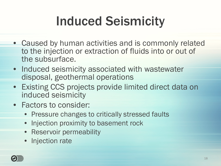### Induced Seismicity

- Caused by human activities and is commonly related to the injection or extraction of fluids into or out of the subsurface.
- Induced seismicity associated with wastewater disposal, geothermal operations
- Existing CCS projects provide limited direct data on induced seismicity
- Factors to consider:
	- Pressure changes to critically stressed faults
	- Injection proximity to basement rock
	- Reservoir permeability
	- Injection rate

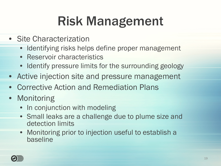### Risk Management

- Site Characterization
	- Identifying risks helps define proper management
	- Reservoir characteristics
	- Identify pressure limits for the surrounding geology
- Active injection site and pressure management
- Corrective Action and Remediation Plans
- Monitoring
	- In conjunction with modeling
	- Small leaks are a challenge due to plume size and detection limits
	- Monitoring prior to injection useful to establish a baseline

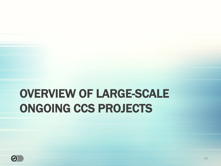#### OVERVIEW OF LARGE-SCALE ONGOING CCS PROJECTS

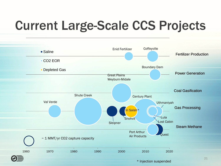### Current Large-Scale CCS Projects



\* Injection suspended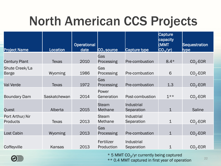### North American CCS Projects

| <b>Project Name</b>                | Location     | <b>Operational</b><br>date | $CO2$ source             | Capture type             | Capture<br>capacity<br>(MMT<br>CO <sub>2</sub> /yr | <b>Sequestration</b><br><u>type</u> |
|------------------------------------|--------------|----------------------------|--------------------------|--------------------------|----------------------------------------------------|-------------------------------------|
| <b>Century Plant</b>               | <b>Texas</b> | 2010                       | Gas<br>Processing        | Pre-combustion           | $8.4*$                                             | $CO2$ -EOR                          |
| Shute Creek/La<br><b>Barge</b>     | Wyoming      | 1986                       | Gas<br>Processing        | Pre-combustion           | 6                                                  | $CO2$ -EOR                          |
| Val Verde                          | <b>Texas</b> | 1972                       | Gas<br>Processing        | Pre-combustion           | 1.3                                                | $CO2$ -EOR                          |
| <b>Boundary Dam</b>                | Saskatchewan | 2014                       | Power<br>Generation      | Post-combustion          | $1***$                                             | $CO2$ -EOR                          |
| Quest                              | Alberta      | 2015                       | <b>Steam</b><br>Methane  | Industrial<br>Separation | $\mathbf{1}$                                       | <b>Saline</b>                       |
| Port Arthur/Air<br><b>Products</b> | <b>Texas</b> | 2013                       | <b>Steam</b><br>Methane  | Industrial<br>Separation | $\mathbf 1$                                        | $CO2$ -EOR                          |
| <b>Lost Cabin</b>                  | Wyoming      | 2013                       | Gas<br>Processing        | Pre-combustion           | $\mathbf 1$                                        | $CO2$ -EOR                          |
| Coffeyville                        | Kansas       | 2013                       | Fertilizer<br>Production | Industrial<br>Separation | $\mathbf 1$                                        | $CO2$ -EOR                          |

 $^{\star}$  5 MMT CO<sub>2</sub>/yr currently being captured

\*\* 0.4 MMT captured in first year of operation

22

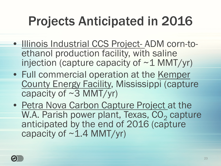### Projects Anticipated in 2016

- Illinois Industrial CCS Project- ADM corn-toethanol production facility, with saline injection (capture capacity of  $\sim$  1 MMT/yr)
- Full commercial operation at the Kemper County Energy Facility, Mississippi (capture capacity of  $\sim$ 3 MMT/yr)
- Petra Nova Carbon Capture Project at the W.A. Parish power plant, Texas, CO<sub>2</sub> capture anticipated by the end of 2016 (capture capacity of  $\sim$  1.4 MMT/yr)

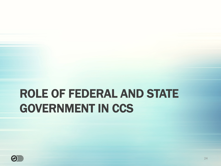#### ROLE OF FEDERAL AND STATE GOVERNMENT IN CCS

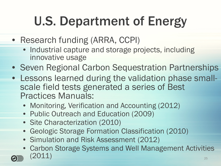## U.S. Department of Energy

- Research funding (ARRA, CCPI)
	- Industrial capture and storage projects, including innovative usage
- Seven Regional Carbon Sequestration Partnerships
- Lessons learned during the validation phase smallscale field tests generated a series of Best Practices Manuals:
	- Monitoring, Verification and Accounting (2012)
	- Public Outreach and Education (2009)
	- Site Characterization (2010)
	- Geologic Storage Formation Classification (2010)
	- Simulation and Risk Assessment (2012)
	- Carbon Storage Systems and Well Management Activities  $(2011)$   $25$



| UQINUII |  |  |
|---------|--|--|
| (2011)  |  |  |
|         |  |  |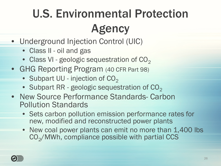### U.S. Environmental Protection Agency

- Underground Injection Control (UIC)
	- Class II oil and gas
	- Class VI geologic sequestration of  $CO<sub>2</sub>$
- GHG Reporting Program (40 CFR Part 98)
	- Subpart UU injection of  $CO<sub>2</sub>$
	- Subpart RR geologic sequestration of  $CO<sub>2</sub>$
- New Source Performance Standards- Carbon Pollution Standards
	- Sets carbon pollution emission performance rates for new, modified and reconstructed power plants
	- New coal power plants can emit no more than 1,400 lbs  $\mathrm{CO}_2/\mathrm{MWh}$ , compliance possible with partial CCS

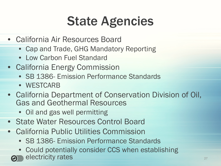### State Agencies

- California Air Resources Board
	- Cap and Trade, GHG Mandatory Reporting
	- Low Carbon Fuel Standard
- California Energy Commission
	- SB 1386- Emission Performance Standards
	- WESTCARB
- California Department of Conservation Division of Oil, Gas and Geothermal Resources
	- Oil and gas well permitting
- State Water Resources Control Board
- California Public Utilities Commission
	- SB 1386- Emission Performance Standards
	- Could potentially consider CCS when establishing electricity rates and the contribution of the contribution of the contribution of the contribution of the contribution of the contribution of the contribution of the contribution of the contribution of the contribution of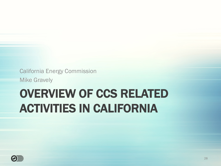California Energy Commission

Mike Gravely

#### OVERVIEW OF CCS RELATED ACTIVITIES IN CALIFORNIA

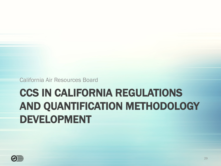California Air Resources Board

#### CCS IN CALIFORNIA REGULATIONS AND QUANTIFICATION METHODOLOGY DEVELOPMENT

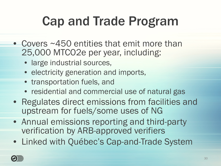### Cap and Trade Program

- Covers ~450 entities that emit more than 25,000 MTCO2e per year, including:
	- large industrial sources,
	- electricity generation and imports,
	- transportation fuels, and
	- residential and commercial use of natural gas
- Regulates direct emissions from facilities and upstream for fuels/some uses of NG
- Annual emissions reporting and third-party verification by ARB-approved verifiers
- Linked with Québec's Cap-and-Trade System

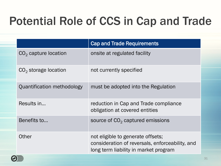#### Potential Role of CCS in Cap and Trade

|                            | <b>Cap and Trade Requirements</b>                                                                                             |
|----------------------------|-------------------------------------------------------------------------------------------------------------------------------|
| $CO2$ capture location     | onsite at regulated facility                                                                                                  |
| $CO2$ storage location     | not currently specified                                                                                                       |
| Quantification methodology | must be adopted into the Regulation                                                                                           |
| Results in                 | reduction in Cap and Trade compliance<br>obligation at covered entities                                                       |
| Benefits to                | source of $CO2$ captured emissions                                                                                            |
| Other                      | not eligible to generate offsets;<br>consideration of reversals, enforceability, and<br>long term liability in market program |

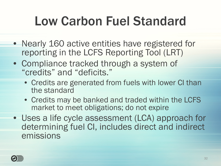### Low Carbon Fuel Standard

- Nearly 160 active entities have registered for reporting in the LCFS Reporting Tool (LRT)
- Compliance tracked through a system of "credits" and "deficits."
	- Credits are generated from fuels with lower CI than the standard
	- Credits may be banked and traded within the LCFS market to meet obligations; do not expire
- Uses a life cycle assessment (LCA) approach for determining fuel CI, includes direct and indirect emissions

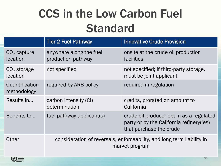#### CCS in the Low Carbon Fuel **Standard**

|                                  | <b>Tier 2 Fuel Pathway</b>                                                               | <b>Innovative Crude Provision</b>                                                                                |  |
|----------------------------------|------------------------------------------------------------------------------------------|------------------------------------------------------------------------------------------------------------------|--|
| $CO2$ capture<br><i>location</i> | anywhere along the fuel<br>production pathway                                            | onsite at the crude oil production<br>facilities                                                                 |  |
| $CO2$ storage<br>location        | not specified                                                                            | not specified; if third-party storage,<br>must be joint applicant                                                |  |
| Quantification<br>methodology    | required by ARB policy                                                                   | required in regulation                                                                                           |  |
| Results in                       | carbon intensity (CI)<br>determination                                                   | credits, prorated on amount to<br>California                                                                     |  |
| Benefits to                      | fuel pathway applicant(s)                                                                | crude oil producer opt-in as a regulated<br>party or by the California refinery (ies)<br>that purchase the crude |  |
| Other                            | consideration of reversals, enforceability, and long term liability in<br>market program |                                                                                                                  |  |

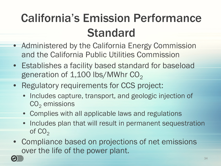#### California's Emission Performance Standard

- Administered by the California Energy Commission and the California Public Utilities Commission
- Establishes a facility based standard for baseload generation of  $1,100$  lbs/MWhr  $CO<sub>2</sub>$
- Regulatory requirements for CCS project:
	- Includes capture, transport, and geologic injection of  $CO<sub>2</sub>$  emissions
	- Complies with all applicable laws and regulations
	- Includes plan that will result in permanent sequestration of  $CO<sub>2</sub>$
- Compliance based on projections of net emissions over the life of the power plant.

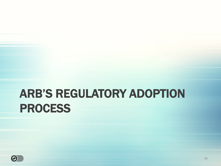#### ARB'S REGULATORY ADOPTION PROCESS

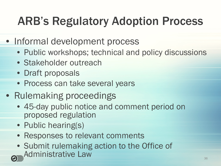#### ARB's Regulatory Adoption Process

- Informal development process
	- Public workshops; technical and policy discussions
	- Stakeholder outreach
	- Draft proposals
	- Process can take several years
- Rulemaking proceedings
	- 45-day public notice and comment period on proposed regulation
	- Public hearing(s)
	- Responses to relevant comments
	- Submit rulemaking action to the Office of Administrative Law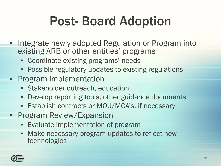### Post- Board Adoption

- Integrate newly adopted Regulation or Program into existing ARB or other entities' programs
	- Coordinate existing programs' needs
	- Possible regulatory updates to existing regulations
- Program Implementation
	- Stakeholder outreach, education
	- Develop reporting tools, other guidance documents
	- Establish contracts or MOU/MOA's, if necessary
- Program Review/Expansion
	- Evaluate implementation of program
	- Make necessary program updates to reflect new technologies

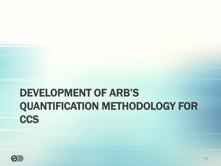#### DEVELOPMENT OF ARB'S QUANTIFICATION METHODOLOGY FOR **CCS**

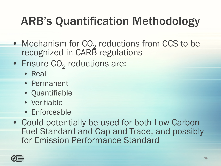- Mechanism for CO<sub>2</sub> reductions from CCS to be recognized in CARB regulations
- Ensure  $\mathrm{CO}_2$  reductions are:
	- Real
	- Permanent
	- Quantifiable
	- Verifiable
	- Enforceable
- Could potentially be used for both Low Carbon Fuel Standard and Cap-and-Trade, and possibly for Emission Performance Standard

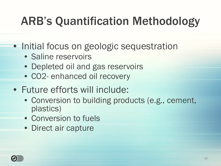- Initial focus on geologic sequestration
	- Saline reservoirs
	- Depleted oil and gas reservoirs
	- CO2- enhanced oil recovery
- Future efforts will include:
	- Conversion to building products (e.g., cement, plastics)
	- Conversion to fuels
	- Direct air capture

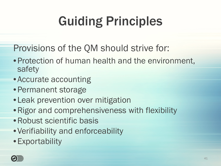# Guiding Principles

Provisions of the QM should strive for:

- •Protection of human health and the environment, safety
- Accurate accounting
- •Permanent storage
- Leak prevention over mitigation
- •Rigor and comprehensiveness with flexibility
- •Robust scientific basis
- Verifiability and enforceability
- •Exportability

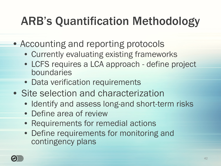- Accounting and reporting protocols
	- Currently evaluating existing frameworks
	- LCFS requires a LCA approach define project boundaries
	- Data verification requirements
- Site selection and characterization
	- Identify and assess long-and short-term risks
	- Define area of review
	- Requirements for remedial actions
	- Define requirements for monitoring and contingency plans

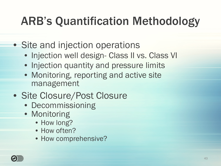- Site and injection operations
	- Injection well design- Class II vs. Class VI
	- Injection quantity and pressure limits
	- Monitoring, reporting and active site management
- Site Closure/Post Closure
	- Decommissioning
	- Monitoring
		- How long?
		- How often?
		- How comprehensive?

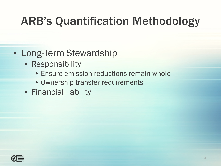#### • Long-Term Stewardship

- Responsibility
	- Ensure emission reductions remain whole
	- Ownership transfer requirements
- Financial liability

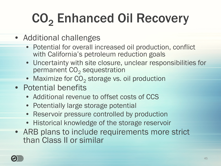# CO<sub>2</sub> Enhanced Oil Recovery

- Additional challenges
	- Potential for overall increased oil production, conflict with California's petroleum reduction goals
	- Uncertainty with site closure, unclear responsibilities for permanent  $\mathrm{CO}_2$  sequestration
	- $\bullet\,$  Maximize for  $\mathsf{CO}_2$  storage vs. oil production
- Potential benefits
	- Additional revenue to offset costs of CCS
	- Potentially large storage potential
	- Reservoir pressure controlled by production
	- Historical knowledge of the storage reservoir
- ARB plans to include requirements more strict than Class II or similar

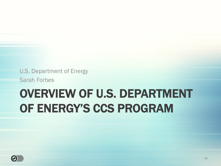U.S. Department of Energy

Sarah Forbes

#### OVERVIEW OF U.S. DEPARTMENT OF ENERGY'S CCS PROGRAM

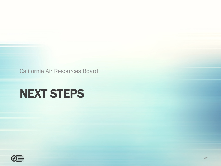California Air Resources Board

#### NEXT STEPS

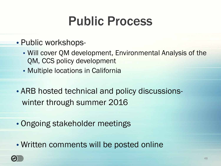### Public Process

- Public workshops-
	- Will cover QM development, Environmental Analysis of the QM, CCS policy development
	- Multiple locations in California
- ARB hosted technical and policy discussionswinter through summer 2016
- Ongoing stakeholder meetings
- Written comments will be posted online

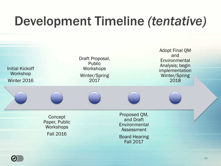### Development Timeline *(tentative)*



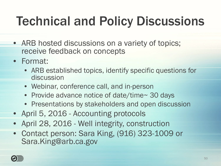### Technical and Policy Discussions

- ARB hosted discussions on a variety of topics; receive feedback on concepts
- Format:
	- ARB established topics, identify specific questions for discussion
	- Webinar, conference call, and in-person
	- Provide advance notice of date/time~ 30 days
	- Presentations by stakeholders and open discussion
- April 5, 2016 Accounting protocols
- April 28, 2016 Well integrity, construction
- Contact person: Sara King, (916) 323-1009 or Sara.King@arb.ca.gov

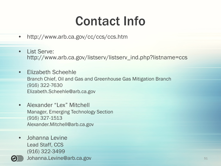### Contact Info

- http://www.arb.ca.gov/cc/ccs/ccs.htm
- List Serve: http://www.arb.ca.gov/listserv/listserv\_ind.php?listname=ccs
- Elizabeth Scheehle Branch Chief, Oil and Gas and Greenhouse Gas Mitigation Branch (916) 322-7630 Elizabeth.Scheehle@arb.ca.gov
- Alexander "Lex" Mitchell Manager, Emerging Technology Section (916) 327-1513 Alexander.Mitchell@arb.ca.gov
- Johanna Levine Lead Staff, CCS (916) 322-3499

Johanna.Levine@arb.ca.gov 51